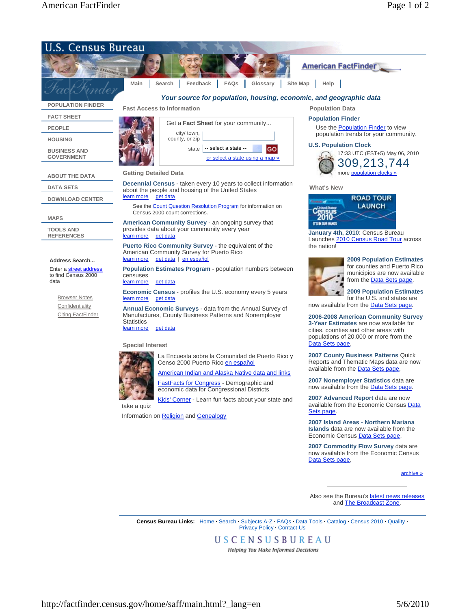

Also see the Bureau's latest news releases and **The Broadcast Zone**.

**Census Bureau Links:** Home **·** Search **·** Subjects A-Z **·** FAQs **·** Data Tools **·** Catalog **·** Census 2010 **·** Quality **·**  Privacy Policy **·** Contact Us

> **USCENSUSBUREAU** Helping You Make Informed Decisions

 $\overline{a}$